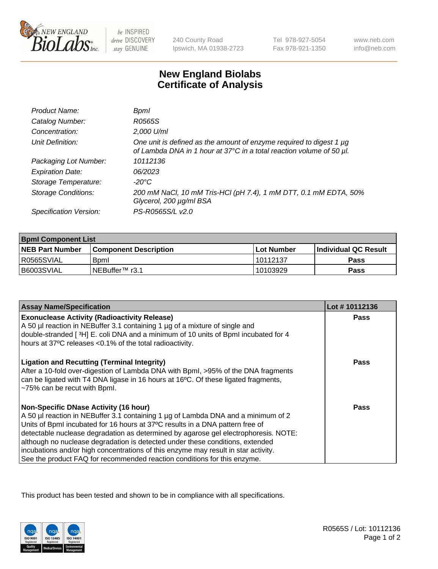

 $be$  INSPIRED drive DISCOVERY stay GENUINE

240 County Road Ipswich, MA 01938-2723 Tel 978-927-5054 Fax 978-921-1350

www.neb.com info@neb.com

## **New England Biolabs Certificate of Analysis**

| Product Name:              | Bpml                                                                                                                                        |
|----------------------------|---------------------------------------------------------------------------------------------------------------------------------------------|
| Catalog Number:            | R0565S                                                                                                                                      |
| Concentration:             | 2,000 U/ml                                                                                                                                  |
| Unit Definition:           | One unit is defined as the amount of enzyme required to digest 1 µg<br>of Lambda DNA in 1 hour at 37°C in a total reaction volume of 50 µl. |
| Packaging Lot Number:      | 10112136                                                                                                                                    |
| <b>Expiration Date:</b>    | 06/2023                                                                                                                                     |
| Storage Temperature:       | -20°C                                                                                                                                       |
| <b>Storage Conditions:</b> | 200 mM NaCl, 10 mM Tris-HCl (pH 7.4), 1 mM DTT, 0.1 mM EDTA, 50%<br>Glycerol, 200 µg/ml BSA                                                 |
| Specification Version:     | PS-R0565S/L v2.0                                                                                                                            |

| <b>Bpml Component List</b> |                              |                   |                       |  |
|----------------------------|------------------------------|-------------------|-----------------------|--|
| <b>NEB Part Number</b>     | <b>Component Description</b> | <b>Lot Number</b> | ∣Individual QC Result |  |
| R0565SVIAL                 | <b>B</b> oml                 | 10112137          | <b>Pass</b>           |  |
| B6003SVIAL                 | TNEBuffer™ r3.1              | 10103929          | Pass                  |  |

| <b>Assay Name/Specification</b>                                                                                                                                                                                                                                                                                                                                                                                                                                                                                                                              | Lot #10112136 |
|--------------------------------------------------------------------------------------------------------------------------------------------------------------------------------------------------------------------------------------------------------------------------------------------------------------------------------------------------------------------------------------------------------------------------------------------------------------------------------------------------------------------------------------------------------------|---------------|
| <b>Exonuclease Activity (Radioactivity Release)</b><br>A 50 µl reaction in NEBuffer 3.1 containing 1 µg of a mixture of single and                                                                                                                                                                                                                                                                                                                                                                                                                           | <b>Pass</b>   |
| double-stranded [3H] E. coli DNA and a minimum of 10 units of BpmI incubated for 4<br>hours at 37°C releases < 0.1% of the total radioactivity.                                                                                                                                                                                                                                                                                                                                                                                                              |               |
| <b>Ligation and Recutting (Terminal Integrity)</b><br>After a 10-fold over-digestion of Lambda DNA with Bpml, >95% of the DNA fragments<br>can be ligated with T4 DNA ligase in 16 hours at 16°C. Of these ligated fragments,<br>~75% can be recut with Bpml.                                                                                                                                                                                                                                                                                                | Pass          |
| <b>Non-Specific DNase Activity (16 hour)</b><br>A 50 µl reaction in NEBuffer 3.1 containing 1 µg of Lambda DNA and a minimum of 2<br>Units of BpmI incubated for 16 hours at 37°C results in a DNA pattern free of<br>detectable nuclease degradation as determined by agarose gel electrophoresis. NOTE:<br>although no nuclease degradation is detected under these conditions, extended<br>incubations and/or high concentrations of this enzyme may result in star activity.<br>See the product FAQ for recommended reaction conditions for this enzyme. | Pass          |

This product has been tested and shown to be in compliance with all specifications.